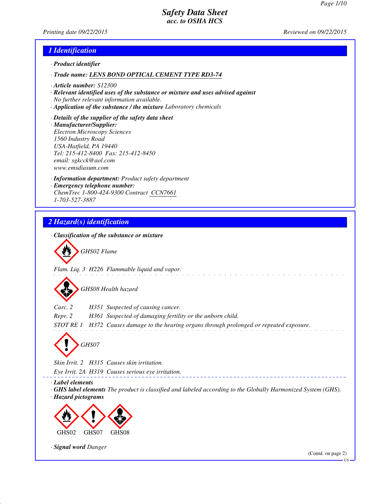*Printing date 09/22/2015 Reviewed on 09/22/2015*

### *1 Identification*

- *· Product identifier*
- *· Trade name: LENS BOND OPTICAL CEMENT TYPE RD3-74*
- *· Article number: S12300*
- *· Relevant identified uses of the substance or mixture and uses advised against No further relevant information available.*
- *· Application of the substance / the mixture Laboratory chemicals*
- *· Details of the supplier of the safety data sheet · Manufacturer/Supplier: Electron Microscopy Sciences 1560 Industry Road USA-Hatfield, PA 19440 Tel: 215-412-8400 Fax: 215-412-8450 email: sgkcck@aol.com www.emsdiasum.com*
- *· Information department: Product safety department · Emergency telephone number: ChemTrec 1-800-424-9300 Contract CCN7661 1-703-527-3887*

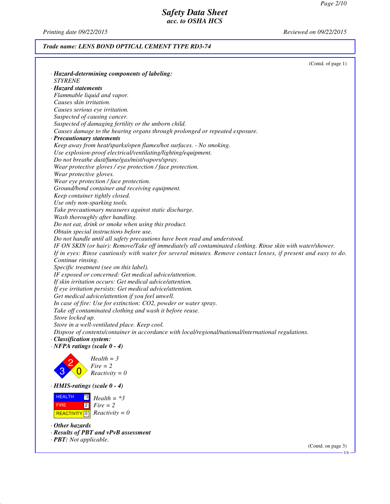*Printing date 09/22/2015 Reviewed on 09/22/2015*

## *Trade name: LENS BOND OPTICAL CEMENT TYPE RD3-74*

|                                                                                                                | (Contd. of page 1) |
|----------------------------------------------------------------------------------------------------------------|--------------------|
| · Hazard-determining components of labeling:                                                                   |                    |
| <i>STYRENE</i>                                                                                                 |                    |
| · Hazard statements                                                                                            |                    |
| Flammable liquid and vapor.                                                                                    |                    |
| Causes skin irritation.                                                                                        |                    |
| Causes serious eye irritation.                                                                                 |                    |
| Suspected of causing cancer.                                                                                   |                    |
| Suspected of damaging fertility or the unborn child.                                                           |                    |
| Causes damage to the hearing organs through prolonged or repeated exposure.                                    |                    |
| · Precautionary statements                                                                                     |                    |
| Keep away from heat/sparks/open flames/hot surfaces. - No smoking.                                             |                    |
| Use explosion-proof electrical/ventilating/lighting/equipment.                                                 |                    |
| Do not breathe dust/fume/gas/mist/vapors/spray.                                                                |                    |
| Wear protective gloves / eye protection / face protection.                                                     |                    |
| Wear protective gloves.                                                                                        |                    |
| Wear eye protection / face protection.                                                                         |                    |
| Ground/bond container and receiving equipment.                                                                 |                    |
| Keep container tightly closed.                                                                                 |                    |
| Use only non-sparking tools.                                                                                   |                    |
| Take precautionary measures against static discharge.                                                          |                    |
| Wash thoroughly after handling.                                                                                |                    |
| Do not eat, drink or smoke when using this product.                                                            |                    |
| Obtain special instructions before use.                                                                        |                    |
| Do not handle until all safety precautions have been read and understood.                                      |                    |
| IF ON SKIN (or hair): Remove/Take off immediately all contaminated clothing. Rinse skin with water/shower.     |                    |
| If in eyes: Rinse cautiously with water for several minutes. Remove contact lenses, if present and easy to do. |                    |
| Continue rinsing.                                                                                              |                    |
| Specific treatment (see on this label).                                                                        |                    |
| IF exposed or concerned: Get medical advice/attention.                                                         |                    |
| If skin irritation occurs: Get medical advice/attention.                                                       |                    |
| If eye irritation persists: Get medical advice/attention.                                                      |                    |
| Get medical advice/attention if you feel unwell.                                                               |                    |
| In case of fire: Use for extinction: CO2, powder or water spray.                                               |                    |
| Take off contaminated clothing and wash it before reuse.                                                       |                    |
| Store locked up.                                                                                               |                    |
| Store in a well-ventilated place. Keep cool.                                                                   |                    |
| Dispose of contents/container in accordance with local/regional/national/international regulations.            |                    |
| · Classification system:                                                                                       |                    |
| $\cdot$ NFPA ratings (scale $0 - 4$ )                                                                          |                    |
|                                                                                                                |                    |
| $Health = 3$                                                                                                   |                    |
| $Fire = 2$                                                                                                     |                    |
| $Reactivity = 0$                                                                                               |                    |
| $\cdot$ HMIS-ratings (scale $0 - 4$ )                                                                          |                    |
| <b>HEALTH</b><br> *3 <br>$Health = *3$                                                                         |                    |
| $\overline{2}$<br>$Fire = 2$<br><b>FIRE</b>                                                                    |                    |
| $Reactivity = 0$<br>REACTIVITY <sup>0</sup>                                                                    |                    |
|                                                                                                                |                    |
| $\cdot$ Other hazards                                                                                          |                    |
| · Results of PBT and vPvB assessment                                                                           |                    |
| · <b>PBT</b> : Not applicable.                                                                                 |                    |

(Contd. on page 3)

US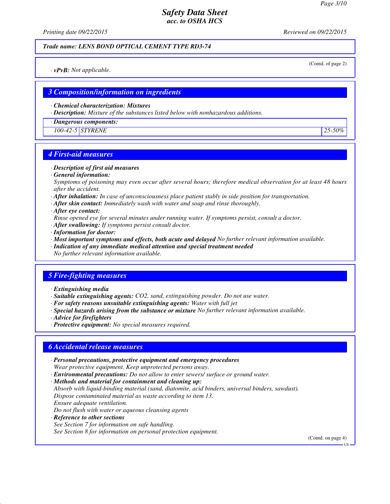*Printing date 09/22/2015 Reviewed on 09/22/2015*

#### *Trade name: LENS BOND OPTICAL CEMENT TYPE RD3-74*

(Contd. of page 2)

*· vPvB: Not applicable.*

### *3 Composition/information on ingredients*

*· Chemical characterization: Mixtures*

*· Description: Mixture of the substances listed below with nonhazardous additions.*

*· Dangerous components:*

*100-42-5 STYRENE 25-50%*

## *4 First-aid measures*

- *· Description of first aid measures*
- *· General information:*

*Symptoms of poisoning may even occur after several hours; therefore medical observation for at least 48 hours after the accident.*

- *· After inhalation: In case of unconsciousness place patient stably in side position for transportation.*
- *· After skin contact: Immediately wash with water and soap and rinse thoroughly.*
- *· After eye contact:*
- *Rinse opened eye for several minutes under running water. If symptoms persist, consult a doctor.*
- *· After swallowing: If symptoms persist consult doctor.*
- *· Information for doctor:*
- *· Most important symptoms and effects, both acute and delayed No further relevant information available.*
- *· Indication of any immediate medical attention and special treatment needed*
- *No further relevant information available.*

### *5 Fire-fighting measures*

- *· Extinguishing media*
- *· Suitable extinguishing agents: CO2, sand, extinguishing powder. Do not use water.*
- *· For safety reasons unsuitable extinguishing agents: Water with full jet*
- *· Special hazards arising from the substance or mixture No further relevant information available.*
- *· Advice for firefighters*
- *· Protective equipment: No special measures required.*

### *6 Accidental release measures*

- *· Personal precautions, protective equipment and emergency procedures Wear protective equipment. Keep unprotected persons away.*
- *· Environmental precautions: Do not allow to enter sewers/ surface or ground water.*

*· Methods and material for containment and cleaning up:*

*Absorb with liquid-binding material (sand, diatomite, acid binders, universal binders, sawdust). Dispose contaminated material as waste according to item 13. Ensure adequate ventilation.*

*Do not flush with water or aqueous cleansing agents*

*· Reference to other sections*

*See Section 7 for information on safe handling.*

*See Section 8 for information on personal protection equipment.*

(Contd. on page 4)

**HS**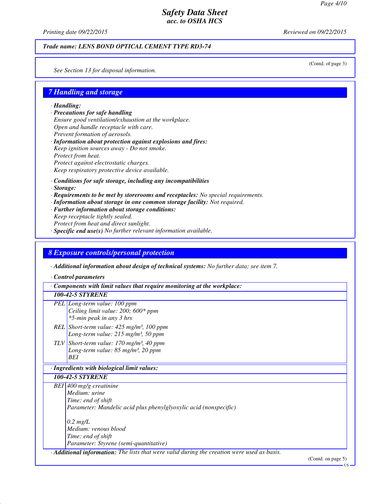*Printing date 09/22/2015 Reviewed on 09/22/2015*

#### *Trade name: LENS BOND OPTICAL CEMENT TYPE RD3-74*

(Contd. of page 3)

*See Section 13 for disposal information.*

### *7 Handling and storage*

*· Handling:*

- *· Precautions for safe handling Ensure good ventilation/exhaustion at the workplace. Open and handle receptacle with care. Prevent formation of aerosols. · Information about protection against explosions and fires:*
- *Keep ignition sources away Do not smoke. Protect from heat. Protect against electrostatic charges. Keep respiratory protective device available.*
- *· Conditions for safe storage, including any incompatibilities*
- *· Storage:*
- *· Requirements to be met by storerooms and receptacles: No special requirements.*
- *· Information about storage in one common storage facility: Not required.*
- *· Further information about storage conditions:*
- *Keep receptacle tightly sealed. Protect from heat and direct sunlight. · Specific end use(s) No further relevant information available.*

#### *8 Exposure controls/personal protection*

*· Additional information about design of technical systems: No further data; see item 7.*

*· Control parameters*

*· Components with limit values that require monitoring at the workplace:*

#### *100-42-5 STYRENE*

- *PEL Long-term value: 100 ppm Ceiling limit value: 200; 600\* ppm \*5-min peak in any 3 hrs*
- *REL Short-term value: 425 mg/m³, 100 ppm Long-term value: 215 mg/m³, 50 ppm*
- *TLV Short-term value: 170 mg/m³, 40 ppm Long-term value: 85 mg/m³, 20 ppm BEI*

#### *· Ingredients with biological limit values:*

*100-42-5 STYRENE*

*BEI 400 mg/g creatinine Medium: urine Time: end of shift Parameter: Mandelic acid plus phenylglyoxylic acid (nonspecific) 0.2 mg/L Medium: venous blood*

*Time: end of shift Parameter: Styrene (semi-quantitative)*

*· Additional information: The lists that were valid during the creation were used as basis.*

(Contd. on page 5)

US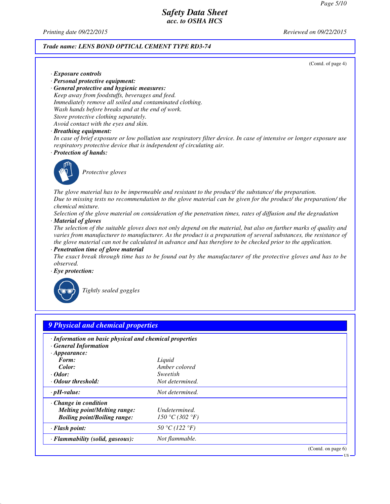*Printing date 09/22/2015 Reviewed on 09/22/2015*

*· Exposure controls*

#### *Trade name: LENS BOND OPTICAL CEMENT TYPE RD3-74*

(Contd. of page 4)

US

- *· Personal protective equipment: · General protective and hygienic measures: Keep away from foodstuffs, beverages and feed. Immediately remove all soiled and contaminated clothing. Wash hands before breaks and at the end of work. Store protective clothing separately. Avoid contact with the eyes and skin.*
- *· Breathing equipment:*

*In case of brief exposure or low pollution use respiratory filter device. In case of intensive or longer exposure use respiratory protective device that is independent of circulating air.*

*· Protection of hands:*



*Protective gloves*

*The glove material has to be impermeable and resistant to the product/ the substance/ the preparation. Due to missing tests no recommendation to the glove material can be given for the product/ the preparation/ the chemical mixture.*

*Selection of the glove material on consideration of the penetration times, rates of diffusion and the degradation · Material of gloves*

*The selection of the suitable gloves does not only depend on the material, but also on further marks of quality and varies from manufacturer to manufacturer. As the product is a preparation of several substances, the resistance of the glove material can not be calculated in advance and has therefore to be checked prior to the application.*

*· Penetration time of glove material*

*The exact break through time has to be found out by the manufacturer of the protective gloves and has to be observed.*

*· Eye protection:*



*Tightly sealed goggles*

| · Information on basic physical and chemical properties<br><b>General Information</b> |                 |  |
|---------------------------------------------------------------------------------------|-----------------|--|
| $\cdot$ Appearance:<br>Form:                                                          | Liquid          |  |
| Color:                                                                                | Amber colored   |  |
| $\cdot$ Odor:                                                                         | Sweetish        |  |
| Odour threshold:                                                                      | Not determined. |  |
| $\cdot$ pH-value:                                                                     | Not determined. |  |
| $\cdot$ Change in condition                                                           |                 |  |
| <b>Melting point/Melting range:</b>                                                   | Undetermined.   |  |
| <b>Boiling point/Boiling range:</b>                                                   | 150 °C (302 °F) |  |
| · Flash point:                                                                        | 50 °C (122 °F)  |  |
| · Flammability (solid, gaseous):                                                      | Not flammable.  |  |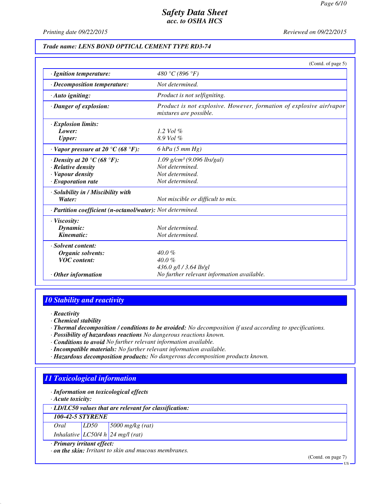*Printing date 09/22/2015 Reviewed on 09/22/2015*

#### *Trade name: LENS BOND OPTICAL CEMENT TYPE RD3-74*

|                                                            | (Contd. of page 5)                                                                            |
|------------------------------------------------------------|-----------------------------------------------------------------------------------------------|
| · Ignition temperature:                                    | 480 °C (896 °F)                                                                               |
| $\cdot$ Decomposition temperature:                         | Not determined.                                                                               |
| $\cdot$ Auto igniting:                                     | Product is not selfigniting.                                                                  |
| · Danger of explosion:                                     | Product is not explosive. However, formation of explosive air/vapor<br>mixtures are possible. |
| $\cdot$ Explosion limits:                                  |                                                                                               |
| Lower:                                                     | 1.2 Vol $\%$                                                                                  |
| <b>Upper:</b>                                              | 8.9 Vol %                                                                                     |
| $\cdot$ Vapor pressure at 20 °C (68 °F):                   | $6$ hPa $(5$ mm Hg)                                                                           |
| $\cdot$ Density at 20 °C (68 °F):                          | $1.09$ g/cm <sup>3</sup> (9.096 lbs/gal)                                                      |
| $\cdot$ Relative density                                   | Not determined.                                                                               |
| · Vapour density                                           | Not determined.                                                                               |
| $\cdot$ Evaporation rate                                   | Not determined.                                                                               |
| · Solubility in / Miscibility with                         |                                                                                               |
| Water:                                                     | Not miscible or difficult to mix.                                                             |
| · Partition coefficient (n-octanol/water): Not determined. |                                                                                               |
| $\cdot$ Viscosity:                                         |                                                                                               |
| Dynamic:                                                   | Not determined.                                                                               |
| Kinematic:                                                 | Not determined.                                                                               |
| · Solvent content:                                         |                                                                                               |
| <b>Organic solvents:</b>                                   | $40.0\%$                                                                                      |
| <b>VOC</b> content:                                        | $40.0 \%$                                                                                     |
|                                                            | 436.0 g/l / 3.64 lb/gl                                                                        |
| $\cdot$ Other information                                  | No further relevant information available.                                                    |

## *10 Stability and reactivity*

- *· Reactivity*
- *· Chemical stability*
- *· Thermal decomposition / conditions to be avoided: No decomposition if used according to specifications.*
- *· Possibility of hazardous reactions No dangerous reactions known.*
- *· Conditions to avoid No further relevant information available.*
- *· Incompatible materials: No further relevant information available.*
- *· Hazardous decomposition products: No dangerous decomposition products known.*

## *11 Toxicological information*

*· Information on toxicological effects*

*· Acute toxicity:*

*· LD/LC50 values that are relevant for classification:*

*100-42-5 STYRENE*

| Oral | LD50 | $\frac{5000}{9}$ mg/kg (rat)      |
|------|------|-----------------------------------|
|      |      | Inhalative LC50/4 h 24 mg/l (rat) |

#### *· Primary irritant effect:*

*· on the skin: Irritant to skin and mucous membranes.*

(Contd. on page 7)

US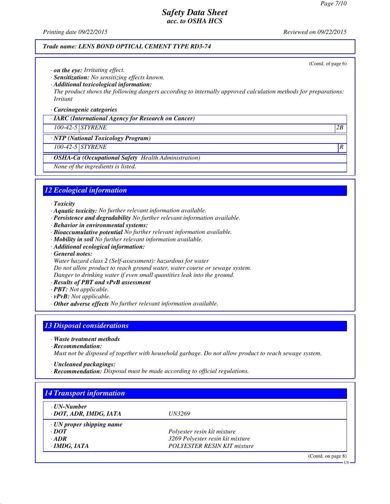(Contd. of page 6)

US

## *Safety Data Sheet acc. to OSHA HCS*

*Printing date 09/22/2015 Reviewed on 09/22/2015*

#### *Trade name: LENS BOND OPTICAL CEMENT TYPE RD3-74*

*· on the eye: Irritating effect.*

*· Sensitization: No sensitizing effects known.*

*· Additional toxicological information:*

*The product shows the following dangers according to internally approved calculation methods for preparations: Irritant*

*· Carcinogenic categories*

*· IARC (International Agency for Research on Cancer)*

*100-42-5 STYRENE 2B*

*· NTP (National Toxicology Program)*

*100-42-5 STYRENE R* 

*· OSHA-Ca (Occupational Safety Health Administration)*

*None of the ingredients is listed.*

## *12 Ecological information*

*· Toxicity*

- *· Aquatic toxicity: No further relevant information available.*
- *· Persistence and degradability No further relevant information available.*
- *· Behavior in environmental systems:*
- *· Bioaccumulative potential No further relevant information available.*
- *· Mobility in soil No further relevant information available.*
- *· Additional ecological information:*
- *· General notes:*
- *Water hazard class 2 (Self-assessment): hazardous for water*

*Do not allow product to reach ground water, water course or sewage system.*

*Danger to drinking water if even small quantities leak into the ground.*

- *· Results of PBT and vPvB assessment*
- *· PBT: Not applicable.*
- *· vPvB: Not applicable.*
- *· Other adverse effects No further relevant information available.*

## *13 Disposal considerations*

*· Waste treatment methods*

*· Recommendation:*

*Must not be disposed of together with household garbage. Do not allow product to reach sewage system.*

- *· Uncleaned packagings:*
- *· Recommendation: Disposal must be made according to official regulations.*

| · UN-Number                     |                                    |  |
|---------------------------------|------------------------------------|--|
| · DOT, ADR, IMDG, IATA          | <b>UN3269</b>                      |  |
| $\cdot$ UN proper shipping name |                                    |  |
| $\cdot$ <i>DOT</i>              | Polyester resin kit mixture        |  |
| $\cdot$ ADR                     | 3269 Polyester resin kit mixture   |  |
| $\cdot$ IMDG, IATA              | <b>POLYESTER RESIN KIT mixture</b> |  |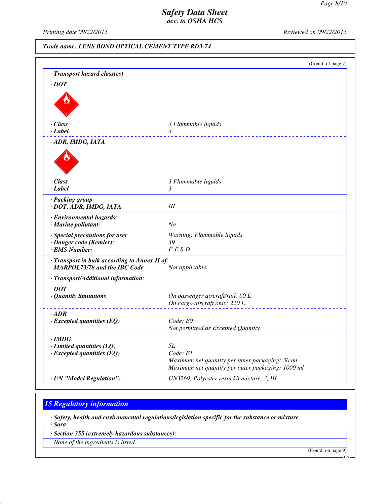*Printing date 09/22/2015 Reviewed on 09/22/2015*

*Trade name: LENS BOND OPTICAL CEMENT TYPE RD3-74*

|                                              | (Contd. of page 7)                                |
|----------------------------------------------|---------------------------------------------------|
| · Transport hazard class(es)                 |                                                   |
| $\cdot$ DOT                                  |                                                   |
|                                              |                                                   |
|                                              |                                                   |
|                                              |                                                   |
|                                              |                                                   |
| · Class                                      | 3 Flammable liquids                               |
| · Label                                      | 3                                                 |
| · ADR, IMDG, IATA                            |                                                   |
|                                              |                                                   |
|                                              |                                                   |
|                                              |                                                   |
| · Class                                      | 3 Flammable liquids                               |
| · Label                                      | 3                                                 |
|                                              |                                                   |
| · Packing group<br>· DOT, ADR, IMDG, IATA    | III                                               |
|                                              |                                                   |
| · Environmental hazards:                     |                                                   |
| · Marine pollutant:                          | No                                                |
| · Special precautions for user               | Warning: Flammable liquids                        |
| · Danger code (Kemler):                      | 39                                                |
| · EMS Number:                                | $F-E,S-D$                                         |
| · Transport in bulk according to Annex II of |                                                   |
| <b>MARPOL73/78 and the IBC Code</b>          | Not applicable.                                   |
| · Transport/Additional information:          |                                                   |
| $\cdot$ DOT                                  |                                                   |
| · Quantity limitations                       | On passenger aircraft/rail: 60 L                  |
|                                              | On cargo aircraft only: 220 L                     |
| $\cdot$ ADR                                  |                                                   |
| $\cdot$ Excepted quantities (EQ)             | Code: E0                                          |
|                                              | Not permitted as Excepted Quantity                |
| · IMDG                                       |                                                   |
| $\cdot$ Limited quantities (LQ)              | 5L                                                |
| $\cdot$ Excepted quantities (EQ)             | Code: El                                          |
|                                              | Maximum net quantity per inner packaging: 30 ml   |
|                                              | Maximum net quantity per outer packaging: 1000 ml |
| · UN "Model Regulation":                     | UN3269, Polyester resin kit mixture, 3, III       |

# *15 Regulatory information*

*· Safety, health and environmental regulations/legislation specific for the substance or mixture*

*· Sara*

*· Section 355 (extremely hazardous substances):*

*None of the ingredients is listed.*

(Contd. on page 9)

US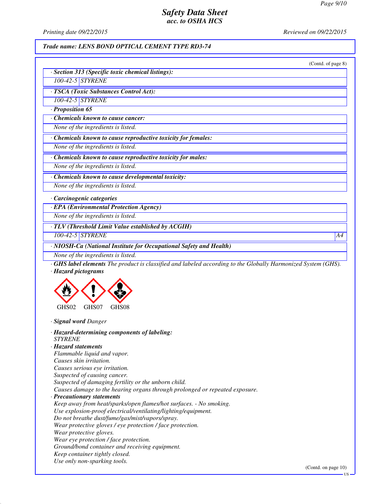*Printing date 09/22/2015 Reviewed on 09/22/2015*

### *Trade name: LENS BOND OPTICAL CEMENT TYPE RD3-74*

|                                                                                                                                                            | (Contd. of page 8) |
|------------------------------------------------------------------------------------------------------------------------------------------------------------|--------------------|
| · Section 313 (Specific toxic chemical listings):                                                                                                          |                    |
| 100-42-5 STYRENE                                                                                                                                           |                    |
| · TSCA (Toxic Substances Control Act):                                                                                                                     |                    |
| 100-42-5 STYRENE                                                                                                                                           |                    |
| $\cdot$ Proposition 65                                                                                                                                     |                    |
| Chemicals known to cause cancer:                                                                                                                           |                    |
| None of the ingredients is listed.                                                                                                                         |                    |
| · Chemicals known to cause reproductive toxicity for females:                                                                                              |                    |
| None of the ingredients is listed.                                                                                                                         |                    |
| Chemicals known to cause reproductive toxicity for males:                                                                                                  |                    |
| None of the ingredients is listed.                                                                                                                         |                    |
| · Chemicals known to cause developmental toxicity:                                                                                                         |                    |
| None of the ingredients is listed.                                                                                                                         |                    |
| Carcinogenic categories                                                                                                                                    |                    |
| · EPA (Environmental Protection Agency)                                                                                                                    |                    |
| None of the ingredients is listed.                                                                                                                         |                    |
|                                                                                                                                                            |                    |
| · TLV (Threshold Limit Value established by ACGIH)                                                                                                         |                    |
| 100-42-5 STYRENE                                                                                                                                           | A4                 |
| · NIOSH-Ca (National Institute for Occupational Safety and Health)                                                                                         |                    |
|                                                                                                                                                            |                    |
|                                                                                                                                                            |                    |
| GHS02<br>GHS07<br>GHS08                                                                                                                                    |                    |
| · Signal word Danger                                                                                                                                       |                    |
| · Hazard-determining components of labeling:                                                                                                               |                    |
| <b>STYRENE</b>                                                                                                                                             |                    |
| $\cdot$ Hazard statements                                                                                                                                  |                    |
| Flammable liquid and vapor.                                                                                                                                |                    |
| Causes skin irritation.                                                                                                                                    |                    |
| Causes serious eye irritation.                                                                                                                             |                    |
|                                                                                                                                                            |                    |
| Suspected of causing cancer.                                                                                                                               |                    |
| Suspected of damaging fertility or the unborn child.                                                                                                       |                    |
| Causes damage to the hearing organs through prolonged or repeated exposure.                                                                                |                    |
| · Precautionary statements                                                                                                                                 |                    |
|                                                                                                                                                            |                    |
|                                                                                                                                                            |                    |
| Keep away from heat/sparks/open flames/hot surfaces. - No smoking.<br>Use explosion-proof electrical/ventilating/lighting/equipment.                       |                    |
|                                                                                                                                                            |                    |
| Wear protective gloves / eye protection / face protection.                                                                                                 |                    |
| Do not breathe dust/fume/gas/mist/vapors/spray.<br>Wear protective gloves.                                                                                 |                    |
|                                                                                                                                                            |                    |
|                                                                                                                                                            |                    |
| Wear eye protection / face protection.<br>Ground/bond container and receiving equipment.<br>Keep container tightly closed.<br>Use only non-sparking tools. |                    |